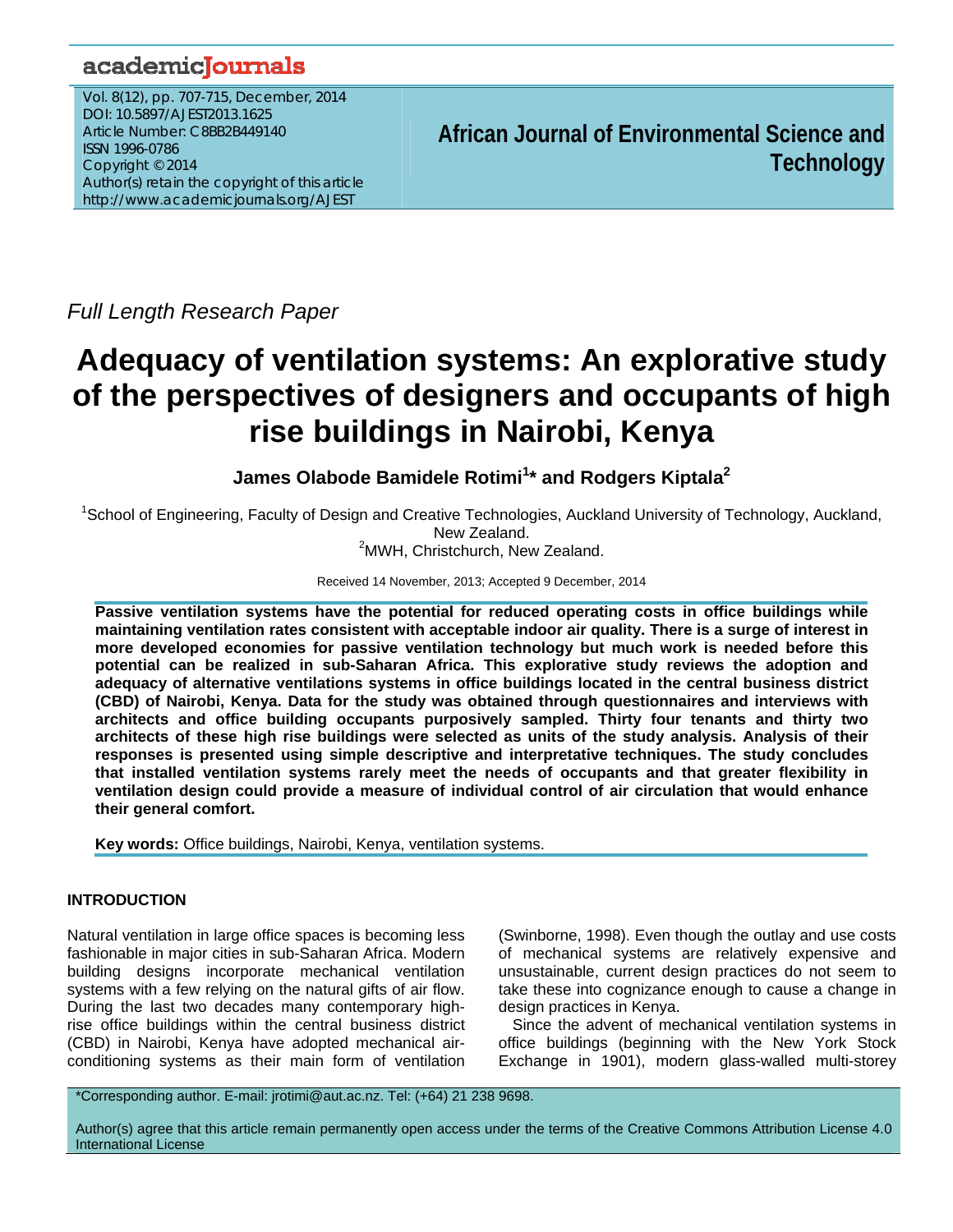## academicJournals

Vol. 8(12), pp. 707-715, December, 2014 DOI: 10.5897/AJEST2013.1625 Article Number: C8BB2B449140 ISSN 1996-0786 Copyright © 2014 Author(s) retain the copyright of this article http://www.academicjournals.org/AJEST

**African Journal of Environmental Science and Technology**

*Full Length Research Paper* 

# **Adequacy of ventilation systems: An explorative study of the perspectives of designers and occupants of high rise buildings in Nairobi, Kenya**

**James Olabode Bamidele Rotimi<sup>1</sup> \* and Rodgers Kiptala2**

<sup>1</sup>School of Engineering, Faculty of Design and Creative Technologies, Auckland University of Technology, Auckland, New Zealand.

<sup>2</sup>MWH, Christchurch, New Zealand.

Received 14 November, 2013; Accepted 9 December, 2014

**Passive ventilation systems have the potential for reduced operating costs in office buildings while maintaining ventilation rates consistent with acceptable indoor air quality. There is a surge of interest in more developed economies for passive ventilation technology but much work is needed before this potential can be realized in sub-Saharan Africa. This explorative study reviews the adoption and adequacy of alternative ventilations systems in office buildings located in the central business district (CBD) of Nairobi, Kenya. Data for the study was obtained through questionnaires and interviews with architects and office building occupants purposively sampled. Thirty four tenants and thirty two architects of these high rise buildings were selected as units of the study analysis. Analysis of their responses is presented using simple descriptive and interpretative techniques. The study concludes that installed ventilation systems rarely meet the needs of occupants and that greater flexibility in ventilation design could provide a measure of individual control of air circulation that would enhance their general comfort.** 

**Key words:** Office buildings, Nairobi, Kenya, ventilation systems.

## **INTRODUCTION**

Natural ventilation in large office spaces is becoming less fashionable in major cities in sub-Saharan Africa. Modern building designs incorporate mechanical ventilation systems with a few relying on the natural gifts of air flow. During the last two decades many contemporary highrise office buildings within the central business district (CBD) in Nairobi, Kenya have adopted mechanical airconditioning systems as their main form of ventilation

(Swinborne, 1998). Even though the outlay and use costs of mechanical systems are relatively expensive and unsustainable, current design practices do not seem to take these into cognizance enough to cause a change in design practices in Kenya.

Since the advent of mechanical ventilation systems in office buildings (beginning with the New York Stock Exchange in 1901), modern glass-walled multi-storey

\*Corresponding author. E-mail: jrotimi@aut.ac.nz. Tel: (+64) 21 238 9698.

Author(s) agree that this article remain permanently open access under the terms of the Creative Commons Attribution License 4.0 International License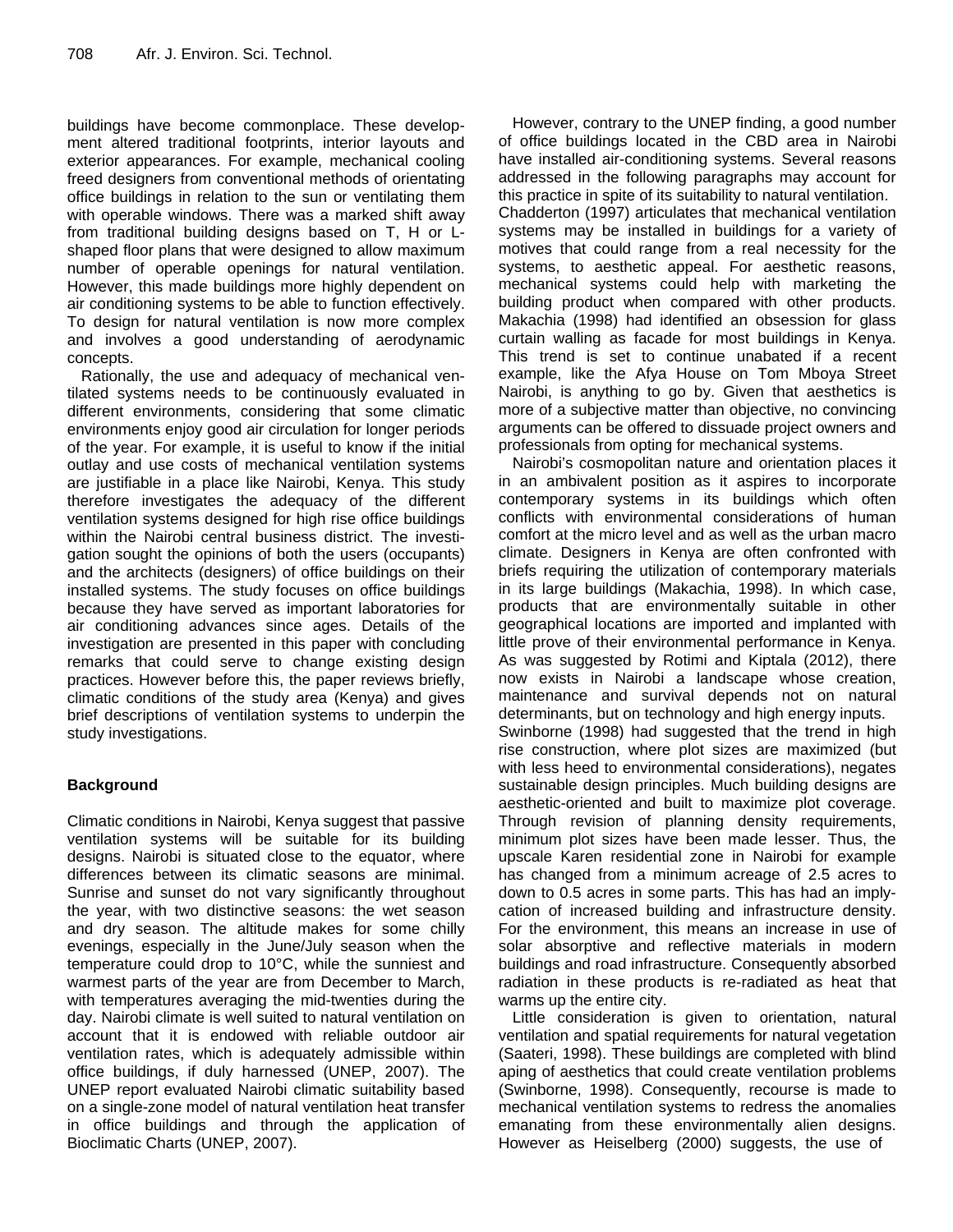buildings have become commonplace. These development altered traditional footprints, interior layouts and exterior appearances. For example, mechanical cooling freed designers from conventional methods of orientating office buildings in relation to the sun or ventilating them with operable windows. There was a marked shift away from traditional building designs based on T, H or Lshaped floor plans that were designed to allow maximum number of operable openings for natural ventilation. However, this made buildings more highly dependent on air conditioning systems to be able to function effectively. To design for natural ventilation is now more complex and involves a good understanding of aerodynamic concepts.

Rationally, the use and adequacy of mechanical ventilated systems needs to be continuously evaluated in different environments, considering that some climatic environments enjoy good air circulation for longer periods of the year. For example, it is useful to know if the initial outlay and use costs of mechanical ventilation systems are justifiable in a place like Nairobi, Kenya. This study therefore investigates the adequacy of the different ventilation systems designed for high rise office buildings within the Nairobi central business district. The investigation sought the opinions of both the users (occupants) and the architects (designers) of office buildings on their installed systems. The study focuses on office buildings because they have served as important laboratories for air conditioning advances since ages. Details of the investigation are presented in this paper with concluding remarks that could serve to change existing design practices. However before this, the paper reviews briefly, climatic conditions of the study area (Kenya) and gives brief descriptions of ventilation systems to underpin the study investigations.

## **Background**

Climatic conditions in Nairobi, Kenya suggest that passive ventilation systems will be suitable for its building designs. Nairobi is situated close to the equator, where differences between its climatic seasons are minimal. Sunrise and sunset do not vary significantly throughout the year, with two distinctive seasons: the wet season and dry season. The altitude makes for some chilly evenings, especially in the June/July season when the temperature could drop to 10°C, while the sunniest and warmest parts of the year are from December to March, with temperatures averaging the mid-twenties during the day. Nairobi climate is well suited to natural ventilation on account that it is endowed with reliable outdoor air ventilation rates, which is adequately admissible within office buildings, if duly harnessed (UNEP, 2007). The UNEP report evaluated Nairobi climatic suitability based on a single-zone model of natural ventilation heat transfer in office buildings and through the application of Bioclimatic Charts (UNEP, 2007).

However, contrary to the UNEP finding, a good number of office buildings located in the CBD area in Nairobi have installed air-conditioning systems. Several reasons addressed in the following paragraphs may account for this practice in spite of its suitability to natural ventilation. Chadderton (1997) articulates that mechanical ventilation systems may be installed in buildings for a variety of motives that could range from a real necessity for the systems, to aesthetic appeal. For aesthetic reasons, mechanical systems could help with marketing the building product when compared with other products. Makachia (1998) had identified an obsession for glass curtain walling as facade for most buildings in Kenya. This trend is set to continue unabated if a recent example, like the Afya House on Tom Mboya Street Nairobi, is anything to go by. Given that aesthetics is more of a subjective matter than objective, no convincing arguments can be offered to dissuade project owners and professionals from opting for mechanical systems.

Nairobi's cosmopolitan nature and orientation places it in an ambivalent position as it aspires to incorporate contemporary systems in its buildings which often conflicts with environmental considerations of human comfort at the micro level and as well as the urban macro climate. Designers in Kenya are often confronted with briefs requiring the utilization of contemporary materials in its large buildings (Makachia, 1998). In which case, products that are environmentally suitable in other geographical locations are imported and implanted with little prove of their environmental performance in Kenya. As was suggested by Rotimi and Kiptala (2012), there now exists in Nairobi a landscape whose creation, maintenance and survival depends not on natural determinants, but on technology and high energy inputs. Swinborne (1998) had suggested that the trend in high rise construction, where plot sizes are maximized (but with less heed to environmental considerations), negates sustainable design principles. Much building designs are aesthetic-oriented and built to maximize plot coverage. Through revision of planning density requirements, minimum plot sizes have been made lesser. Thus, the upscale Karen residential zone in Nairobi for example has changed from a minimum acreage of 2.5 acres to down to 0.5 acres in some parts. This has had an implycation of increased building and infrastructure density. For the environment, this means an increase in use of solar absorptive and reflective materials in modern buildings and road infrastructure. Consequently absorbed radiation in these products is re-radiated as heat that warms up the entire city.

Little consideration is given to orientation, natural ventilation and spatial requirements for natural vegetation (Saateri, 1998). These buildings are completed with blind aping of aesthetics that could create ventilation problems (Swinborne, 1998). Consequently, recourse is made to mechanical ventilation systems to redress the anomalies emanating from these environmentally alien designs. However as Heiselberg (2000) suggests, the use of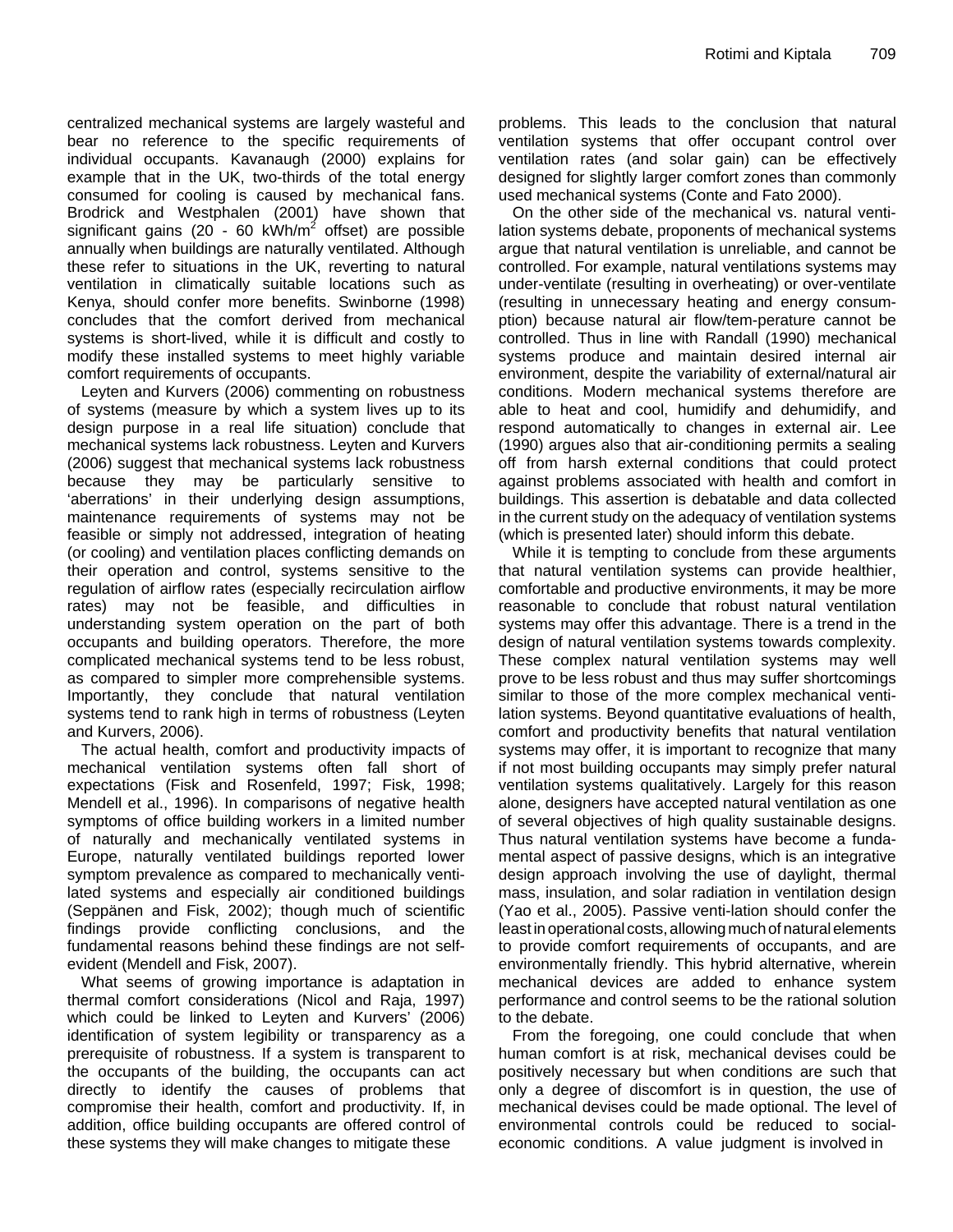centralized mechanical systems are largely wasteful and bear no reference to the specific requirements of individual occupants. Kavanaugh (2000) explains for example that in the UK, two-thirds of the total energy consumed for cooling is caused by mechanical fans. Brodrick and Westphalen (2001) have shown that significant gains (20 - 60 kWh/m<sup>2</sup> offset) are possible annually when buildings are naturally ventilated. Although these refer to situations in the UK, reverting to natural ventilation in climatically suitable locations such as Kenya, should confer more benefits. Swinborne (1998) concludes that the comfort derived from mechanical systems is short-lived, while it is difficult and costly to modify these installed systems to meet highly variable comfort requirements of occupants.

Leyten and Kurvers (2006) commenting on robustness of systems (measure by which a system lives up to its design purpose in a real life situation) conclude that mechanical systems lack robustness. Leyten and Kurvers (2006) suggest that mechanical systems lack robustness because they may be particularly sensitive to 'aberrations' in their underlying design assumptions, maintenance requirements of systems may not be feasible or simply not addressed, integration of heating (or cooling) and ventilation places conflicting demands on their operation and control, systems sensitive to the regulation of airflow rates (especially recirculation airflow rates) may not be feasible, and difficulties in understanding system operation on the part of both occupants and building operators. Therefore, the more complicated mechanical systems tend to be less robust, as compared to simpler more comprehensible systems. Importantly, they conclude that natural ventilation systems tend to rank high in terms of robustness (Leyten and Kurvers, 2006).

The actual health, comfort and productivity impacts of mechanical ventilation systems often fall short of expectations (Fisk and Rosenfeld, 1997; Fisk, 1998; Mendell et al., 1996). In comparisons of negative health symptoms of office building workers in a limited number of naturally and mechanically ventilated systems in Europe, naturally ventilated buildings reported lower symptom prevalence as compared to mechanically ventilated systems and especially air conditioned buildings (Seppänen and Fisk, 2002); though much of scientific findings provide conflicting conclusions, and the fundamental reasons behind these findings are not selfevident (Mendell and Fisk, 2007).

What seems of growing importance is adaptation in thermal comfort considerations (Nicol and Raja, 1997) which could be linked to Leyten and Kurvers' (2006) identification of system legibility or transparency as a prerequisite of robustness. If a system is transparent to the occupants of the building, the occupants can act directly to identify the causes of problems that compromise their health, comfort and productivity. If, in addition, office building occupants are offered control of these systems they will make changes to mitigate these

problems. This leads to the conclusion that natural ventilation systems that offer occupant control over ventilation rates (and solar gain) can be effectively designed for slightly larger comfort zones than commonly used mechanical systems (Conte and Fato 2000).

On the other side of the mechanical vs. natural ventilation systems debate, proponents of mechanical systems argue that natural ventilation is unreliable, and cannot be controlled. For example, natural ventilations systems may under-ventilate (resulting in overheating) or over-ventilate (resulting in unnecessary heating and energy consumption) because natural air flow/tem-perature cannot be controlled. Thus in line with Randall (1990) mechanical systems produce and maintain desired internal air environment, despite the variability of external/natural air conditions. Modern mechanical systems therefore are able to heat and cool, humidify and dehumidify, and respond automatically to changes in external air. Lee (1990) argues also that air-conditioning permits a sealing off from harsh external conditions that could protect against problems associated with health and comfort in buildings. This assertion is debatable and data collected in the current study on the adequacy of ventilation systems (which is presented later) should inform this debate.

While it is tempting to conclude from these arguments that natural ventilation systems can provide healthier, comfortable and productive environments, it may be more reasonable to conclude that robust natural ventilation systems may offer this advantage. There is a trend in the design of natural ventilation systems towards complexity. These complex natural ventilation systems may well prove to be less robust and thus may suffer shortcomings similar to those of the more complex mechanical ventilation systems. Beyond quantitative evaluations of health, comfort and productivity benefits that natural ventilation systems may offer, it is important to recognize that many if not most building occupants may simply prefer natural ventilation systems qualitatively. Largely for this reason alone, designers have accepted natural ventilation as one of several objectives of high quality sustainable designs. Thus natural ventilation systems have become a fundamental aspect of passive designs, which is an integrative design approach involving the use of daylight, thermal mass, insulation, and solar radiation in ventilation design (Yao et al., 2005). Passive venti-lation should confer the least in operational costs, allowing much of natural elements to provide comfort requirements of occupants, and are environmentally friendly. This hybrid alternative, wherein mechanical devices are added to enhance system performance and control seems to be the rational solution to the debate.

From the foregoing, one could conclude that when human comfort is at risk, mechanical devises could be positively necessary but when conditions are such that only a degree of discomfort is in question, the use of mechanical devises could be made optional. The level of environmental controls could be reduced to socialeconomic conditions. A value judgment is involved in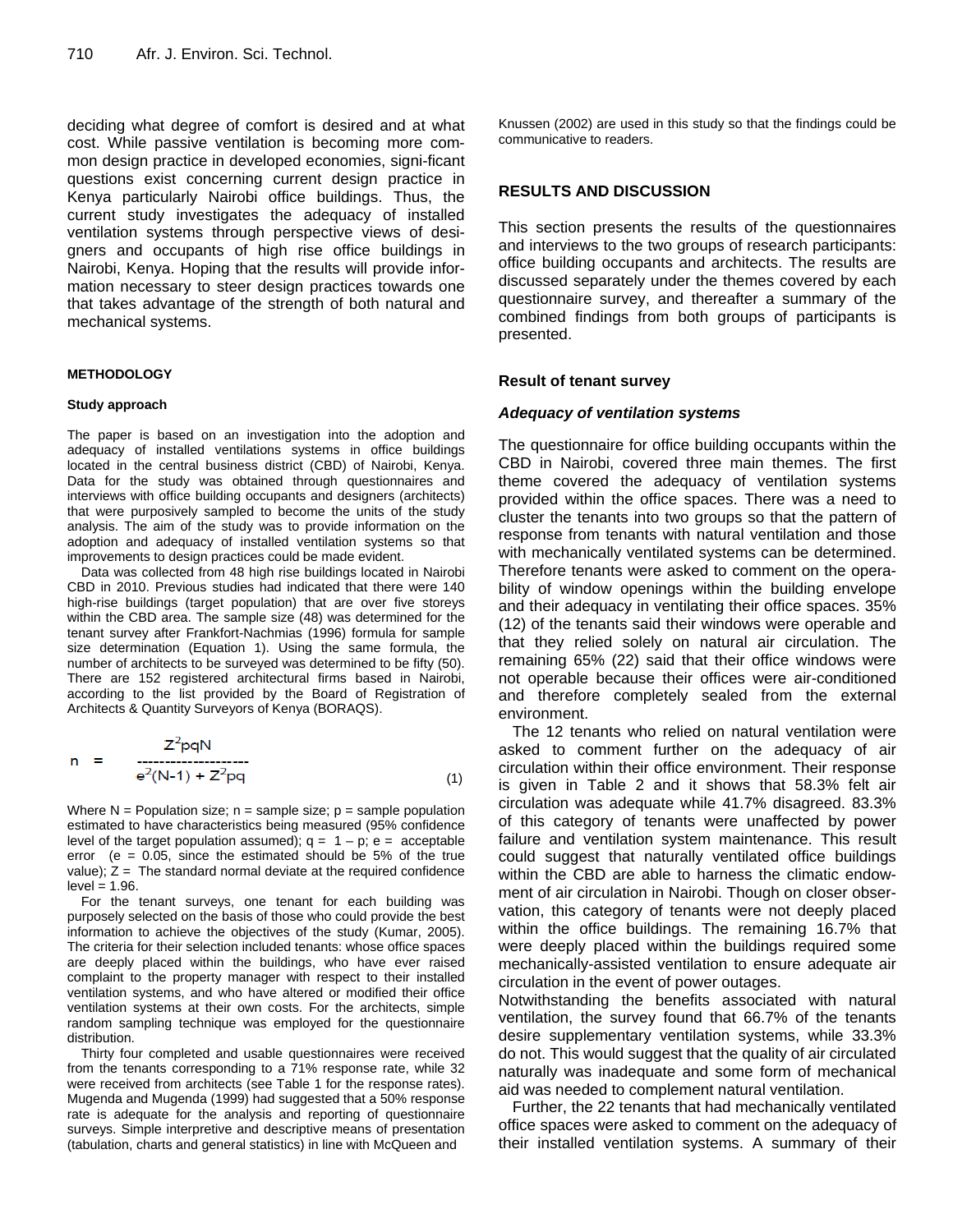deciding what degree of comfort is desired and at what cost. While passive ventilation is becoming more common design practice in developed economies, signi-ficant questions exist concerning current design practice in Kenya particularly Nairobi office buildings. Thus, the current study investigates the adequacy of installed ventilation systems through perspective views of designers and occupants of high rise office buildings in Nairobi, Kenya. Hoping that the results will provide information necessary to steer design practices towards one that takes advantage of the strength of both natural and mechanical systems.

## **METHODOLOGY**

#### **Study approach**

The paper is based on an investigation into the adoption and adequacy of installed ventilations systems in office buildings located in the central business district (CBD) of Nairobi, Kenya. Data for the study was obtained through questionnaires and interviews with office building occupants and designers (architects) that were purposively sampled to become the units of the study analysis. The aim of the study was to provide information on the adoption and adequacy of installed ventilation systems so that improvements to design practices could be made evident.

Data was collected from 48 high rise buildings located in Nairobi CBD in 2010. Previous studies had indicated that there were 140 high-rise buildings (target population) that are over five storeys within the CBD area. The sample size (48) was determined for the tenant survey after Frankfort-Nachmias (1996) formula for sample size determination (Equation 1). Using the same formula, the number of architects to be surveyed was determined to be fifty (50). There are 152 registered architectural firms based in Nairobi, according to the list provided by the Board of Registration of Architects & Quantity Surveyors of Kenya (BORAQS).

$$
n = \frac{Z^{2}pqN}{e^{2}(N-1) + Z^{2}pq}
$$
 (1)

Where  $N =$  Population size;  $n =$  sample size;  $p =$  sample population estimated to have characteristics being measured (95% confidence level of the target population assumed);  $q = 1 - p$ ;  $e = acceptable$ error ( $e = 0.05$ , since the estimated should be 5% of the true value);  $Z =$  The standard normal deviate at the required confidence  $level = 1.96$ .

For the tenant surveys, one tenant for each building was purposely selected on the basis of those who could provide the best information to achieve the objectives of the study (Kumar, 2005). The criteria for their selection included tenants: whose office spaces are deeply placed within the buildings, who have ever raised complaint to the property manager with respect to their installed ventilation systems, and who have altered or modified their office ventilation systems at their own costs. For the architects, simple random sampling technique was employed for the questionnaire distribution.

Thirty four completed and usable questionnaires were received from the tenants corresponding to a 71% response rate, while 32 were received from architects (see Table 1 for the response rates). Mugenda and Mugenda (1999) had suggested that a 50% response rate is adequate for the analysis and reporting of questionnaire surveys. Simple interpretive and descriptive means of presentation (tabulation, charts and general statistics) in line with McQueen and

Knussen (2002) are used in this study so that the findings could be communicative to readers.

## **RESULTS AND DISCUSSION**

This section presents the results of the questionnaires and interviews to the two groups of research participants: office building occupants and architects. The results are discussed separately under the themes covered by each questionnaire survey, and thereafter a summary of the combined findings from both groups of participants is presented.

#### **Result of tenant survey**

#### *Adequacy of ventilation systems*

The questionnaire for office building occupants within the CBD in Nairobi, covered three main themes. The first theme covered the adequacy of ventilation systems provided within the office spaces. There was a need to cluster the tenants into two groups so that the pattern of response from tenants with natural ventilation and those with mechanically ventilated systems can be determined. Therefore tenants were asked to comment on the operability of window openings within the building envelope and their adequacy in ventilating their office spaces. 35% (12) of the tenants said their windows were operable and that they relied solely on natural air circulation. The remaining 65% (22) said that their office windows were not operable because their offices were air-conditioned and therefore completely sealed from the external environment.

The 12 tenants who relied on natural ventilation were asked to comment further on the adequacy of air circulation within their office environment. Their response is given in Table 2 and it shows that 58.3% felt air circulation was adequate while 41.7% disagreed. 83.3% of this category of tenants were unaffected by power failure and ventilation system maintenance. This result could suggest that naturally ventilated office buildings within the CBD are able to harness the climatic endowment of air circulation in Nairobi. Though on closer observation, this category of tenants were not deeply placed within the office buildings. The remaining 16.7% that were deeply placed within the buildings required some mechanically-assisted ventilation to ensure adequate air circulation in the event of power outages.

Notwithstanding the benefits associated with natural ventilation, the survey found that 66.7% of the tenants desire supplementary ventilation systems, while 33.3% do not. This would suggest that the quality of air circulated naturally was inadequate and some form of mechanical aid was needed to complement natural ventilation.

Further, the 22 tenants that had mechanically ventilated office spaces were asked to comment on the adequacy of their installed ventilation systems. A summary of their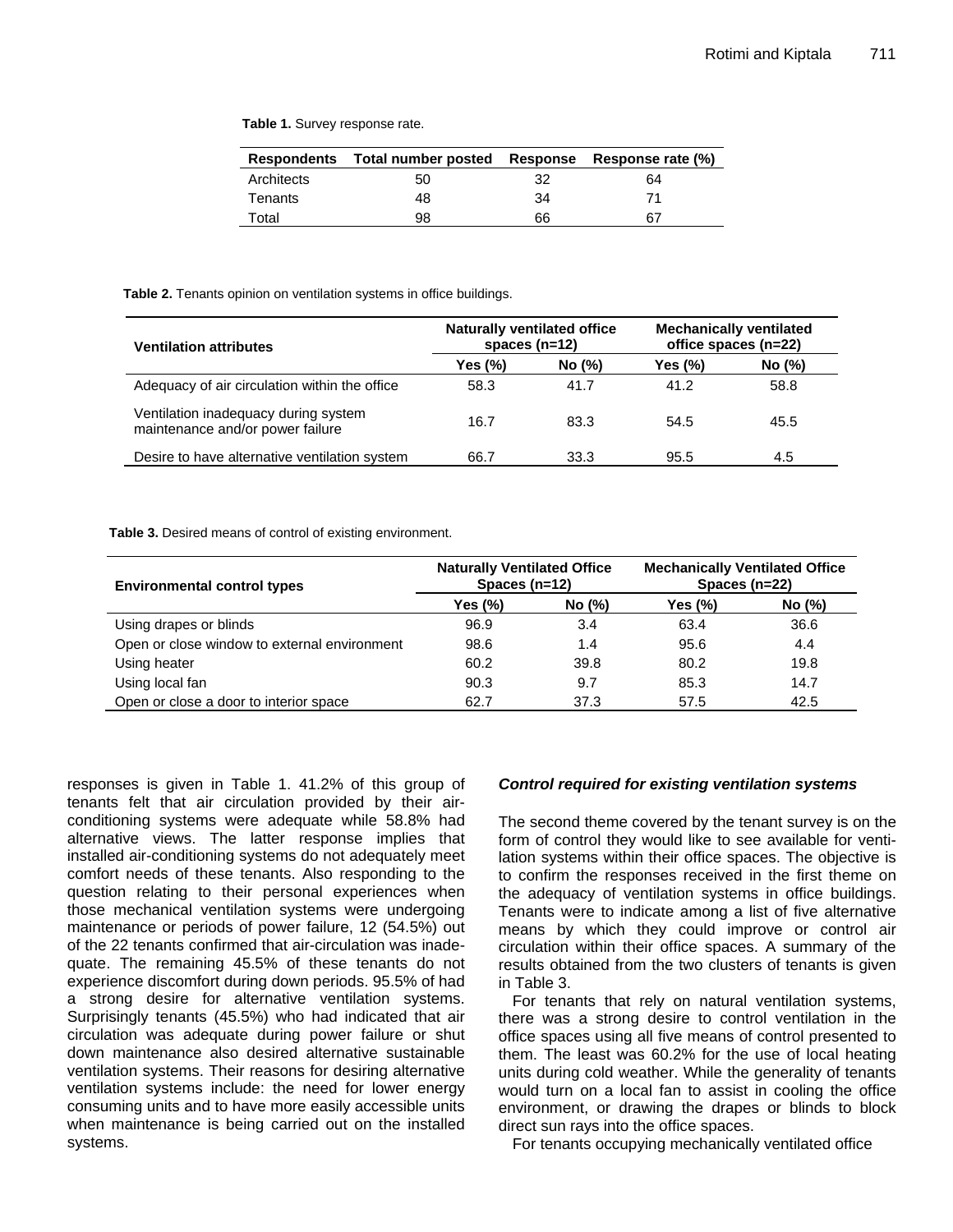**Table 1.** Survey response rate.

|            | Respondents Total number posted |    | Response Response rate (%) |
|------------|---------------------------------|----|----------------------------|
| Architects | 50                              | 32 | 64                         |
| Tenants    | 48                              | 34 | 71                         |
| Total      | 98                              | 66 | 67                         |

#### **Table 2.** Tenants opinion on ventilation systems in office buildings.

| <b>Ventilation attributes</b>                                            | <b>Naturally ventilated office</b><br>spaces $(n=12)$ |        | <b>Mechanically ventilated</b><br>office spaces (n=22) |        |
|--------------------------------------------------------------------------|-------------------------------------------------------|--------|--------------------------------------------------------|--------|
|                                                                          | Yes $(\%)$                                            | No (%) | Yes $(\%)$                                             | No (%) |
| Adequacy of air circulation within the office                            | 58.3                                                  | 41.7   | 41.2                                                   | 58.8   |
| Ventilation inadequacy during system<br>maintenance and/or power failure | 16.7                                                  | 83.3   | 54.5                                                   | 45.5   |
| Desire to have alternative ventilation system                            | 66.7                                                  | 33.3   | 95.5                                                   | 4.5    |

**Table 3.** Desired means of control of existing environment.

| <b>Environmental control types</b>           | <b>Naturally Ventilated Office</b><br>Spaces $(n=12)$ |        | <b>Mechanically Ventilated Office</b><br>Spaces $(n=22)$ |        |  |
|----------------------------------------------|-------------------------------------------------------|--------|----------------------------------------------------------|--------|--|
|                                              | Yes (%)                                               | No (%) | Yes $(\%)$                                               | No (%) |  |
| Using drapes or blinds                       | 96.9                                                  | 3.4    | 63.4                                                     | 36.6   |  |
| Open or close window to external environment | 98.6                                                  | 1.4    | 95.6                                                     | 4.4    |  |
| Using heater                                 | 60.2                                                  | 39.8   | 80.2                                                     | 19.8   |  |
| Using local fan                              | 90.3                                                  | 9.7    | 85.3                                                     | 14.7   |  |
| Open or close a door to interior space       | 62.7                                                  | 37.3   | 57.5                                                     | 42.5   |  |

responses is given in Table 1. 41.2% of this group of tenants felt that air circulation provided by their airconditioning systems were adequate while 58.8% had alternative views. The latter response implies that installed air-conditioning systems do not adequately meet comfort needs of these tenants. Also responding to the question relating to their personal experiences when those mechanical ventilation systems were undergoing maintenance or periods of power failure, 12 (54.5%) out of the 22 tenants confirmed that air-circulation was inadequate. The remaining 45.5% of these tenants do not experience discomfort during down periods. 95.5% of had a strong desire for alternative ventilation systems. Surprisingly tenants (45.5%) who had indicated that air circulation was adequate during power failure or shut down maintenance also desired alternative sustainable ventilation systems. Their reasons for desiring alternative ventilation systems include: the need for lower energy consuming units and to have more easily accessible units when maintenance is being carried out on the installed systems.

## *Control required for existing ventilation systems*

The second theme covered by the tenant survey is on the form of control they would like to see available for ventilation systems within their office spaces. The objective is to confirm the responses received in the first theme on the adequacy of ventilation systems in office buildings. Tenants were to indicate among a list of five alternative means by which they could improve or control air circulation within their office spaces. A summary of the results obtained from the two clusters of tenants is given in Table 3.

For tenants that rely on natural ventilation systems, there was a strong desire to control ventilation in the office spaces using all five means of control presented to them. The least was 60.2% for the use of local heating units during cold weather. While the generality of tenants would turn on a local fan to assist in cooling the office environment, or drawing the drapes or blinds to block direct sun rays into the office spaces.

For tenants occupying mechanically ventilated office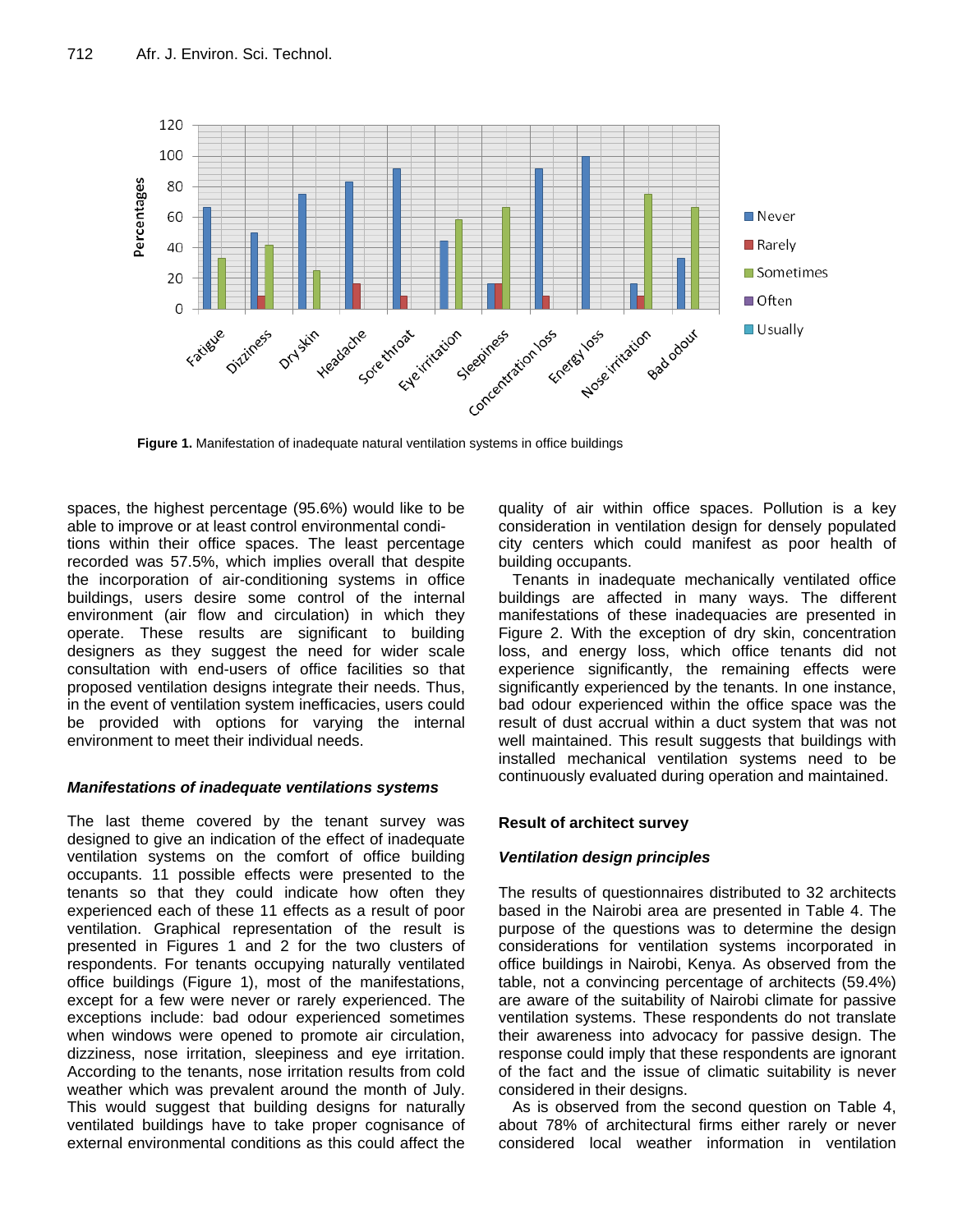

**Figure 1.** Manifestation of inadequate natural ventilation systems in office buildings

spaces, the highest percentage (95.6%) would like to be able to improve or at least control environmental conditions within their office spaces. The least percentage recorded was 57.5%, which implies overall that despite the incorporation of air-conditioning systems in office buildings, users desire some control of the internal environment (air flow and circulation) in which they operate. These results are significant to building designers as they suggest the need for wider scale

consultation with end-users of office facilities so that proposed ventilation designs integrate their needs. Thus, in the event of ventilation system inefficacies, users could be provided with options for varying the internal environment to meet their individual needs.

## *Manifestations of inadequate ventilations systems*

The last theme covered by the tenant survey was designed to give an indication of the effect of inadequate ventilation systems on the comfort of office building occupants. 11 possible effects were presented to the tenants so that they could indicate how often they experienced each of these 11 effects as a result of poor ventilation. Graphical representation of the result is presented in Figures 1 and 2 for the two clusters of respondents. For tenants occupying naturally ventilated office buildings (Figure 1), most of the manifestations, except for a few were never or rarely experienced. The exceptions include: bad odour experienced sometimes when windows were opened to promote air circulation, dizziness, nose irritation, sleepiness and eye irritation. According to the tenants, nose irritation results from cold weather which was prevalent around the month of July. This would suggest that building designs for naturally ventilated buildings have to take proper cognisance of external environmental conditions as this could affect the

quality of air within office spaces. Pollution is a key consideration in ventilation design for densely populated city centers which could manifest as poor health of building occupants.

Tenants in inadequate mechanically ventilated office buildings are affected in many ways. The different manifestations of these inadequacies are presented in Figure 2. With the exception of dry skin, concentration loss, and energy loss, which office tenants did not experience significantly, the remaining effects were significantly experienced by the tenants. In one instance, bad odour experienced within the office space was the result of dust accrual within a duct system that was not well maintained. This result suggests that buildings with installed mechanical ventilation systems need to be continuously evaluated during operation and maintained.

## **Result of architect survey**

## *Ventilation design principles*

The results of questionnaires distributed to 32 architects based in the Nairobi area are presented in Table 4. The purpose of the questions was to determine the design considerations for ventilation systems incorporated in office buildings in Nairobi, Kenya. As observed from the table, not a convincing percentage of architects (59.4%) are aware of the suitability of Nairobi climate for passive ventilation systems. These respondents do not translate their awareness into advocacy for passive design. The response could imply that these respondents are ignorant of the fact and the issue of climatic suitability is never considered in their designs.

As is observed from the second question on Table 4, about 78% of architectural firms either rarely or never considered local weather information in ventilation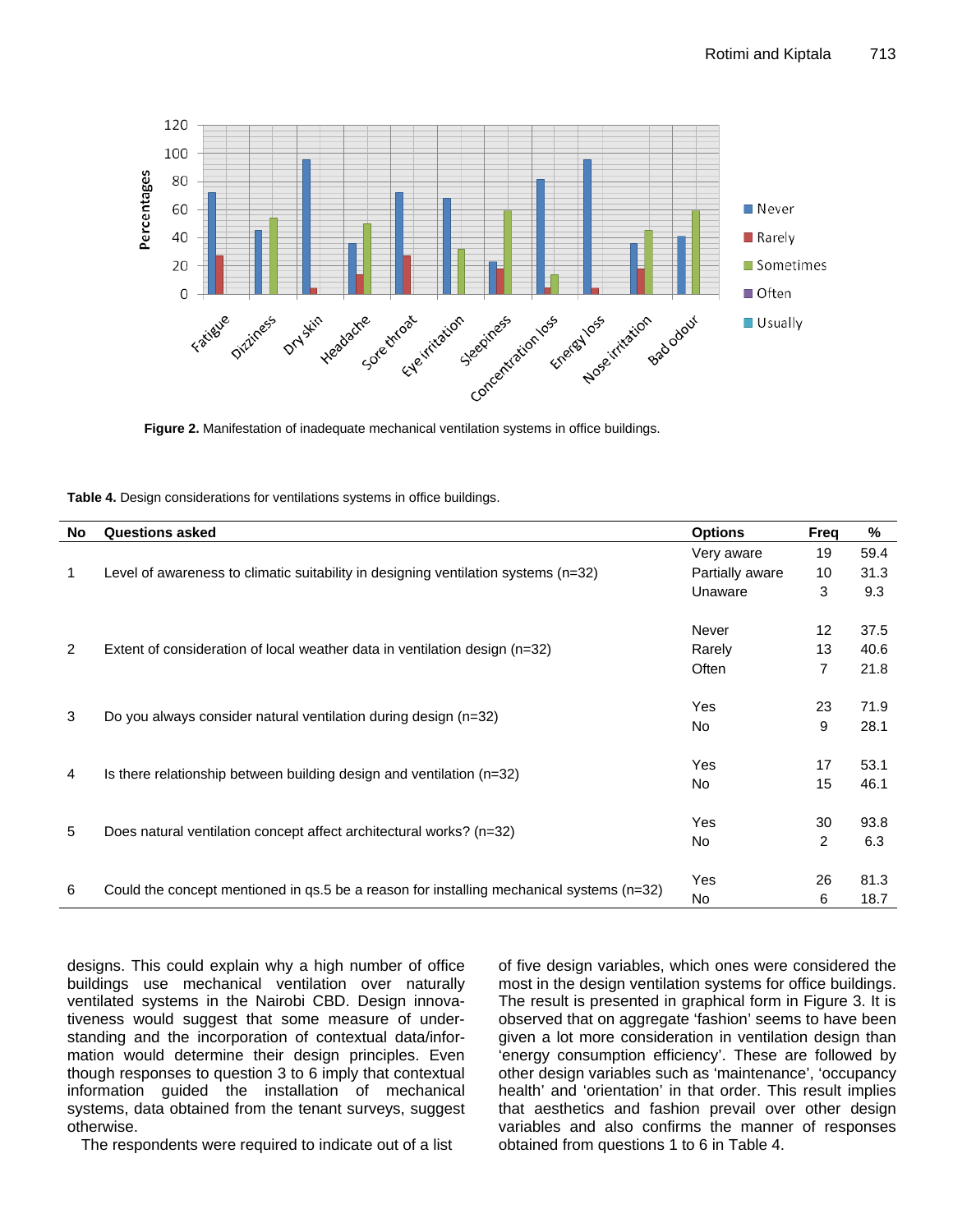

| Table 4. Design considerations for ventilations systems in office buildings. |  |  |
|------------------------------------------------------------------------------|--|--|
|------------------------------------------------------------------------------|--|--|

| No                                                                                             | <b>Questions asked</b>                                                               | <b>Options</b>  | Freq           | %    |
|------------------------------------------------------------------------------------------------|--------------------------------------------------------------------------------------|-----------------|----------------|------|
| 1                                                                                              | Level of awareness to climatic suitability in designing ventilation systems $(n=32)$ | Very aware      | 19             | 59.4 |
|                                                                                                |                                                                                      | Partially aware | 10             | 31.3 |
|                                                                                                |                                                                                      |                 | 3              | 9.3  |
| $\overline{2}$<br>Extent of consideration of local weather data in ventilation design $(n=32)$ |                                                                                      | Never           | 12             | 37.5 |
|                                                                                                |                                                                                      | Rarely          | 13             | 40.6 |
|                                                                                                |                                                                                      | Often           | 7              | 21.8 |
| 3<br>Do you always consider natural ventilation during design (n=32)                           |                                                                                      | Yes             | 23             | 71.9 |
|                                                                                                |                                                                                      | No.             | 9              | 28.1 |
|                                                                                                | Is there relationship between building design and ventilation $(n=32)$               | Yes             | 17             | 53.1 |
| 4                                                                                              |                                                                                      | No.             | 15             | 46.1 |
| 5                                                                                              | Does natural ventilation concept affect architectural works? (n=32)                  | Yes             | 30             | 93.8 |
|                                                                                                |                                                                                      | No              | $\overline{2}$ | 6.3  |
|                                                                                                |                                                                                      | <b>Yes</b>      | 26             | 81.3 |
| Could the concept mentioned in qs.5 be a reason for installing mechanical systems (n=32)<br>6  |                                                                                      | No.             | 6              | 18.7 |

designs. This could explain why a high number of office buildings use mechanical ventilation over naturally ventilated systems in the Nairobi CBD. Design innovativeness would suggest that some measure of understanding and the incorporation of contextual data/information would determine their design principles. Even though responses to question 3 to 6 imply that contextual information guided the installation of mechanical systems, data obtained from the tenant surveys, suggest otherwise.

The respondents were required to indicate out of a list

of five design variables, which ones were considered the most in the design ventilation systems for office buildings. The result is presented in graphical form in Figure 3. It is observed that on aggregate 'fashion' seems to have been given a lot more consideration in ventilation design than 'energy consumption efficiency'. These are followed by other design variables such as 'maintenance', 'occupancy health' and 'orientation' in that order. This result implies that aesthetics and fashion prevail over other design variables and also confirms the manner of responses obtained from questions 1 to 6 in Table 4.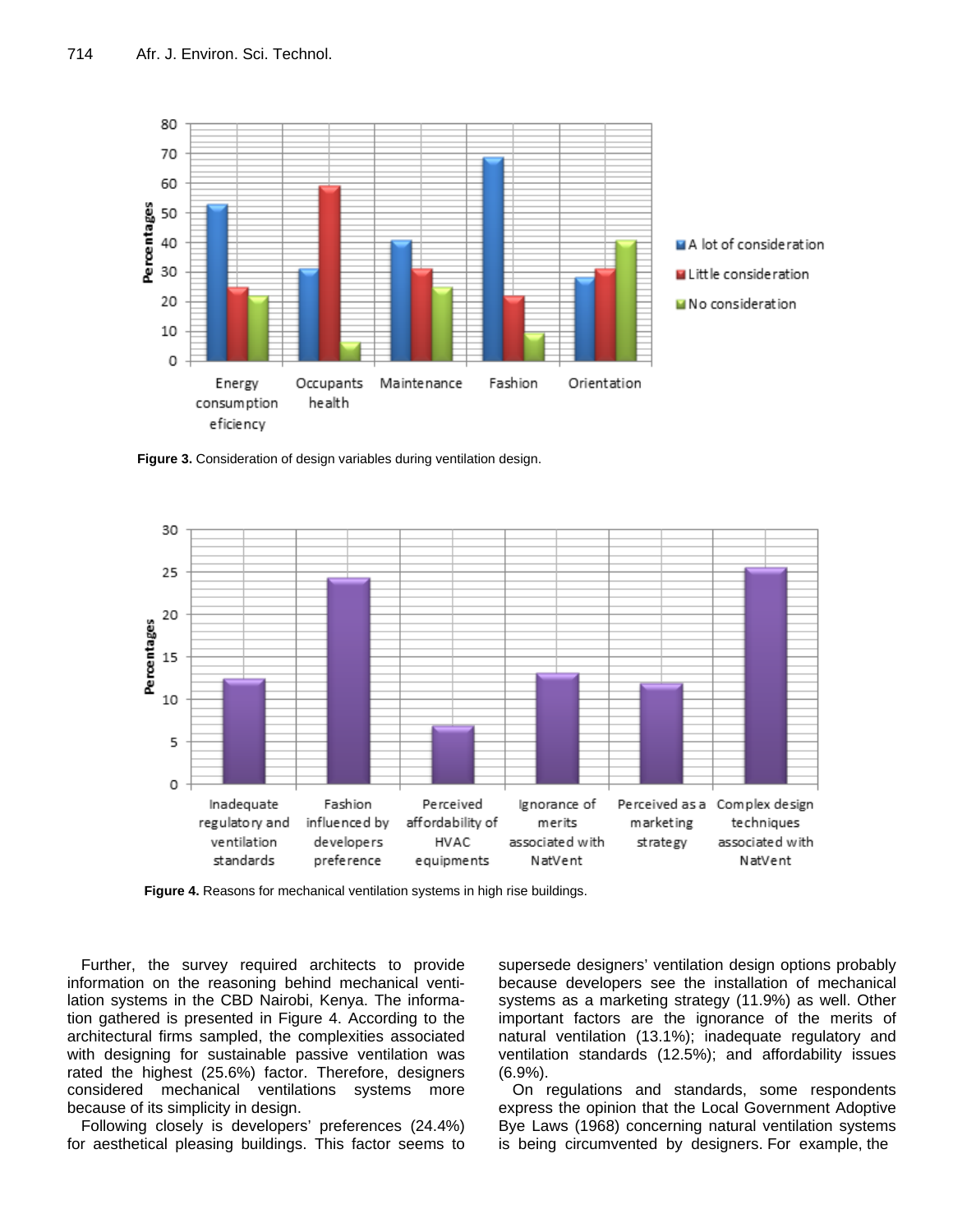

**Figure 3.** Consideration of design variables during ventilation design.



**Figure 4.** Reasons for mechanical ventilation systems in high rise buildings.

Further, the survey required architects to provide information on the reasoning behind mechanical ventilation systems in the CBD Nairobi, Kenya. The information gathered is presented in Figure 4. According to the architectural firms sampled, the complexities associated with designing for sustainable passive ventilation was rated the highest (25.6%) factor. Therefore, designers considered mechanical ventilations systems more because of its simplicity in design.

Following closely is developers' preferences (24.4%) for aesthetical pleasing buildings. This factor seems to supersede designers' ventilation design options probably because developers see the installation of mechanical systems as a marketing strategy (11.9%) as well. Other important factors are the ignorance of the merits of natural ventilation (13.1%); inadequate regulatory and ventilation standards (12.5%); and affordability issues (6.9%).

On regulations and standards, some respondents express the opinion that the Local Government Adoptive Bye Laws (1968) concerning natural ventilation systems is being circumvented by designers. For example, the